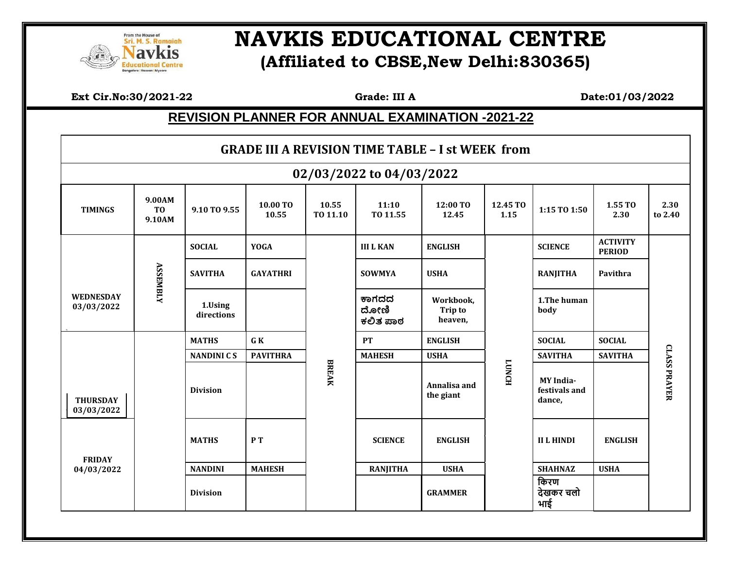

## **EQUERICITY SERION RESOLUTE IN SURFACT SERIOR RESOLUTE IN THE RESOLUTE IN THE RESOLUTE IN THE RESOLUTE IN THE RESOLUTE IN THE RESOLUTE IN THE RESOLUTION ALL CENTRE (Affiliated to CBSE,New Delhi:830365)**

 **Ext Cir.No:30/2021-22 Grade: III A Date:01/03/2022**

## **REVISION PLANNER FOR ANNUAL EXAMINATION -2021-22**

| <b>GRADE III A REVISION TIME TABLE - I st WEEK from</b> |                                    |                       |                   |                   |                           |                                        |                  |                                             |                                  |                     |  |
|---------------------------------------------------------|------------------------------------|-----------------------|-------------------|-------------------|---------------------------|----------------------------------------|------------------|---------------------------------------------|----------------------------------|---------------------|--|
| 02/03/2022 to 04/03/2022                                |                                    |                       |                   |                   |                           |                                        |                  |                                             |                                  |                     |  |
| <b>TIMINGS</b>                                          | 9.00AM<br>T <sub>0</sub><br>9.10AM | 9.10 TO 9.55          | 10.00 TO<br>10.55 | 10.55<br>TO 11.10 | 11:10<br>TO 11.55         | 12:00 TO<br>12.45                      | 12.45 TO<br>1.15 | 1:15 TO 1:50                                | 1.55 TO<br>2.30                  | 2.30<br>to 2.40     |  |
|                                                         | <b>ASSEMBLY</b>                    | <b>SOCIAL</b>         | <b>YOGA</b>       |                   | <b>III L KAN</b>          | <b>ENGLISH</b>                         |                  | <b>SCIENCE</b>                              | <b>ACTIVITY</b><br><b>PERIOD</b> |                     |  |
|                                                         |                                    | <b>SAVITHA</b>        | <b>GAYATHRI</b>   |                   | <b>SOWMYA</b>             | <b>USHA</b>                            |                  | <b>RANJITHA</b>                             | Pavithra                         |                     |  |
| <b>WEDNESDAY</b><br>03/03/2022                          |                                    | 1.Using<br>directions |                   |                   | ಕಾಗದದ<br>ದೋಣಿ<br>ಕಲಿತ ಪಾಠ | Workbook,<br><b>Trip to</b><br>heaven, |                  | 1. The human<br>body                        |                                  |                     |  |
|                                                         |                                    | <b>MATHS</b>          | G K               |                   | PT                        | <b>ENGLISH</b>                         |                  | <b>SOCIAL</b>                               | <b>SOCIAL</b>                    |                     |  |
|                                                         |                                    | <b>NANDINI CS</b>     | <b>PAVITHRA</b>   |                   | <b>MAHESH</b>             | <b>USHA</b>                            |                  | <b>SAVITHA</b>                              | <b>SAVITHA</b>                   |                     |  |
| <b>THURSDAY</b><br>03/03/2022                           |                                    | <b>Division</b>       |                   | <b>BREAK</b>      |                           | Annalisa and<br>the giant              | <b>TONCH</b>     | <b>MY</b> India-<br>festivals and<br>dance, |                                  | <b>CLASS PRAYER</b> |  |
| <b>FRIDAY</b><br>04/03/2022                             |                                    | <b>MATHS</b>          | PT                |                   | <b>SCIENCE</b>            | <b>ENGLISH</b>                         |                  | <b>II L HINDI</b>                           | <b>ENGLISH</b>                   |                     |  |
|                                                         |                                    | <b>NANDINI</b>        | <b>MAHESH</b>     |                   | <b>RANJITHA</b>           | <b>USHA</b>                            |                  | <b>SHAHNAZ</b>                              | <b>USHA</b>                      |                     |  |
|                                                         |                                    | <b>Division</b>       |                   |                   |                           | <b>GRAMMER</b>                         |                  | किरण<br>देखकर चलो<br>भाई                    |                                  |                     |  |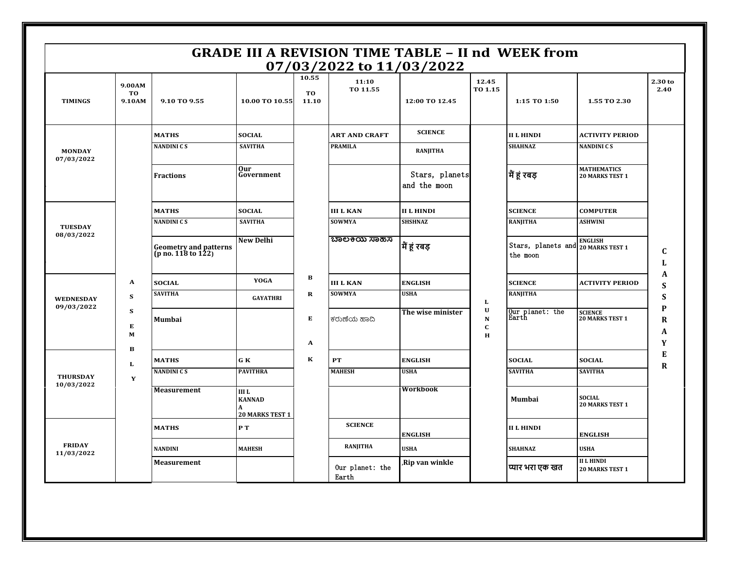| <b>GRADE III A REVISION TIME TABLE - II nd WEEK from</b><br>07/03/2022 to 11/03/2022 |                        |                                             |                                                                        |                             |                          |                                |                                              |                                                |                                              |                    |
|--------------------------------------------------------------------------------------|------------------------|---------------------------------------------|------------------------------------------------------------------------|-----------------------------|--------------------------|--------------------------------|----------------------------------------------|------------------------------------------------|----------------------------------------------|--------------------|
| <b>TIMINGS</b>                                                                       | 9.00AM<br>TO<br>9.10AM | 9.10 TO 9.55                                | 10.00 TO 10.55                                                         | 10.55<br><b>TO</b><br>11.10 | 11:10<br>TO 11.55        | 12:00 TO 12.45                 | 12.45<br>TO 1.15                             | 1:15 TO 1:50                                   | 1.55 TO 2.30                                 | 2.30 to<br>2.40    |
| <b>MONDAY</b><br>07/03/2022                                                          |                        | <b>MATHS</b>                                | <b>SOCIAL</b>                                                          |                             | <b>ART AND CRAFT</b>     | <b>SCIENCE</b>                 |                                              | <b>II L HINDI</b>                              | <b>ACTIVITY PERIOD</b>                       |                    |
|                                                                                      |                        | <b>NANDINI CS</b>                           | <b>SAVITHA</b>                                                         |                             | <b>PRAMILA</b>           | <b>RANJITHA</b>                |                                              | <b>SHAHNAZ</b>                                 | <b>NANDINICS</b>                             |                    |
|                                                                                      |                        | <b>Fractions</b>                            | Our<br>Government                                                      |                             |                          | Stars, planets<br>and the moon |                                              | मैं हूं रबड़                                   | <b>MATHEMATICS</b><br><b>20 MARKS TEST 1</b> |                    |
|                                                                                      |                        | <b>MATHS</b>                                | <b>SOCIAL</b>                                                          |                             | <b>III L KAN</b>         | <b>II L HINDI</b>              |                                              | <b>SCIENCE</b>                                 | <b>COMPUTER</b>                              |                    |
| <b>TUESDAY</b>                                                                       |                        | <b>NANDINICS</b>                            | <b>SAVITHA</b>                                                         |                             | <b>SOWMYA</b>            | <b>SHSHNAZ</b>                 |                                              | <b>RANJITHA</b>                                | <b>ASHWINI</b>                               |                    |
| 08/03/2022                                                                           |                        | Geometry and patterns<br>(p no. 118 to 122) | <b>New Delhi</b>                                                       |                             | ಬಾಲಕಿಯ ಸಾಹಸ              | मैं हूं रबड़                   |                                              | Stars, planets and 20 MARKS TEST 1<br>the moon | <b>ENGLISH</b>                               | $\mathbf{C}$<br>L  |
| A<br>${\bf S}$<br><b>WEDNESDAY</b><br>09/03/2022<br>${\bf S}$<br>Е<br>M              |                        | <b>SOCIAL</b>                               | <b>YOGA</b>                                                            | $\, {\bf B}$                | <b>III L KAN</b>         | <b>ENGLISH</b>                 |                                              | <b>SCIENCE</b>                                 | <b>ACTIVITY PERIOD</b>                       | A<br>S             |
|                                                                                      |                        | <b>SAVITHA</b>                              | <b>GAYATHRI</b>                                                        | $\mathbf R$                 | <b>SOWMYA</b>            | <b>USHA</b>                    | L                                            | <b>RANJITHA</b>                                |                                              | S                  |
|                                                                                      |                        | <b>Mumbai</b>                               |                                                                        | $\bf E$                     | ಕರುಣೆಯ ಹಾದಿ              | The wise minister              | $\mathbf U$<br>${\bf N}$<br>$\mathbf C$<br>H | Our planet: the<br>Earth                       | <b>SCIENCE</b><br><b>20 MARKS TEST 1</b>     | P<br>$\bf{R}$<br>A |
|                                                                                      | в                      |                                             |                                                                        | $\mathbf A$                 |                          |                                |                                              |                                                |                                              | Y<br>E             |
| L<br><b>THURSDAY</b><br>Y<br>10/03/2022                                              |                        | <b>MATHS</b>                                | GK                                                                     | К                           | ${\bf PT}$               | <b>ENGLISH</b>                 |                                              | <b>SOCIAL</b>                                  | <b>SOCIAL</b>                                | $\bf{R}$           |
|                                                                                      |                        | <b>NANDINICS</b>                            | <b>PAVITHRA</b>                                                        |                             | <b>MAHESH</b>            | <b>USHA</b>                    |                                              | <b>SAVITHA</b>                                 | <b>SAVITHA</b>                               |                    |
|                                                                                      |                        | <b>Measurement</b>                          | <b>IIIL</b><br><b>KANNAD</b><br>$\mathbf{A}$<br><b>20 MARKS TEST 1</b> |                             |                          | <b>Workbook</b>                |                                              | Mumbai                                         | <b>SOCIAL</b><br><b>20 MARKS TEST 1</b>      |                    |
| <b>FRIDAY</b><br>11/03/2022                                                          |                        | <b>MATHS</b>                                | P T                                                                    |                             | <b>SCIENCE</b>           | <b>ENGLISH</b>                 |                                              | <b>II L HINDI</b>                              | <b>ENGLISH</b>                               |                    |
|                                                                                      |                        | <b>NANDINI</b>                              | <b>MAHESH</b>                                                          |                             | <b>RANJITHA</b>          | <b>USHA</b>                    |                                              | <b>SHAHNAZ</b>                                 | <b>USHA</b>                                  |                    |
|                                                                                      |                        | <b>Measurement</b>                          |                                                                        |                             | Our planet: the<br>Earth | Rip van winkle                 |                                              | प्यार भरा एक खत                                | <b>II L HINDI</b><br><b>20 MARKS TEST 1</b>  |                    |